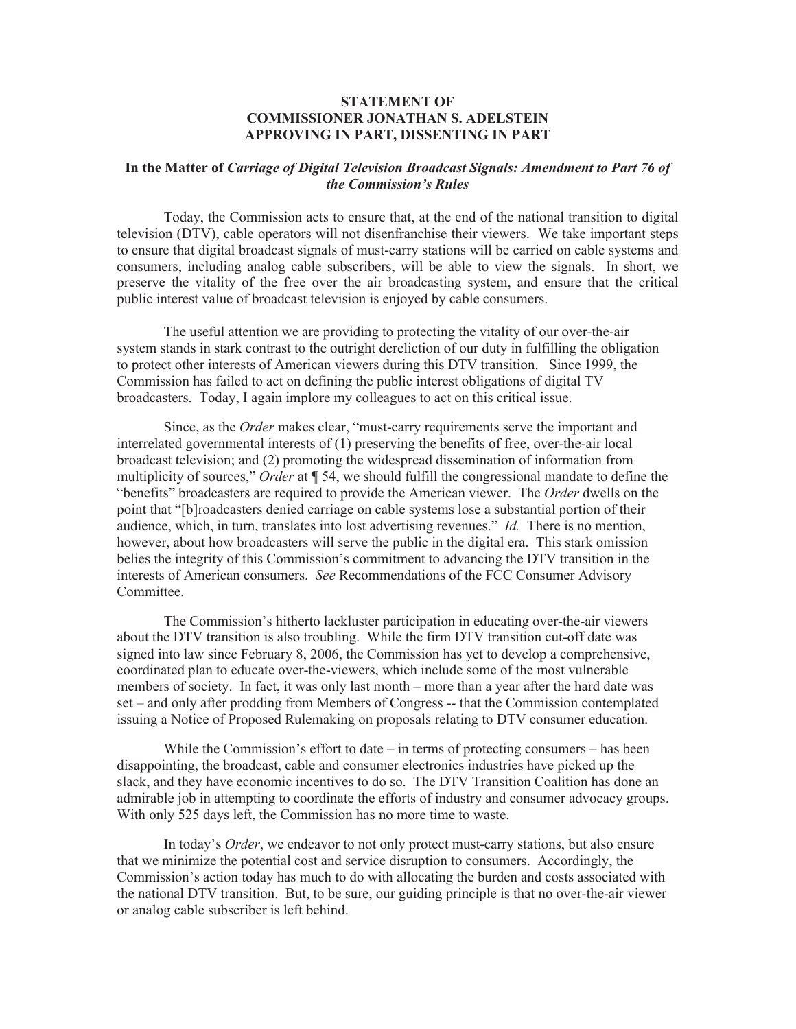## **STATEMENT OF COMMISSIONER JONATHAN S. ADELSTEIN APPROVING IN PART, DISSENTING IN PART**

## **In the Matter of** *Carriage of Digital Television Broadcast Signals: Amendment to Part 76 of the Commission's Rules*

Today, the Commission acts to ensure that, at the end of the national transition to digital television (DTV), cable operators will not disenfranchise their viewers. We take important steps to ensure that digital broadcast signals of must-carry stations will be carried on cable systems and consumers, including analog cable subscribers, will be able to view the signals. In short, we preserve the vitality of the free over the air broadcasting system, and ensure that the critical public interest value of broadcast television is enjoyed by cable consumers.

The useful attention we are providing to protecting the vitality of our over-the-air system stands in stark contrast to the outright dereliction of our duty in fulfilling the obligation to protect other interests of American viewers during this DTV transition. Since 1999, the Commission has failed to act on defining the public interest obligations of digital TV broadcasters. Today, I again implore my colleagues to act on this critical issue.

Since, as the *Order* makes clear, "must-carry requirements serve the important and interrelated governmental interests of (1) preserving the benefits of free, over-the-air local broadcast television; and (2) promoting the widespread dissemination of information from multiplicity of sources," *Order* at ¶ 54, we should fulfill the congressional mandate to define the "benefits" broadcasters are required to provide the American viewer. The *Order* dwells on the point that "[b]roadcasters denied carriage on cable systems lose a substantial portion of their audience, which, in turn, translates into lost advertising revenues." *Id.* There is no mention, however, about how broadcasters will serve the public in the digital era. This stark omission belies the integrity of this Commission's commitment to advancing the DTV transition in the interests of American consumers. *See* Recommendations of the FCC Consumer Advisory **Committee** 

The Commission's hitherto lackluster participation in educating over-the-air viewers about the DTV transition is also troubling. While the firm DTV transition cut-off date was signed into law since February 8, 2006, the Commission has yet to develop a comprehensive, coordinated plan to educate over-the-viewers, which include some of the most vulnerable members of society. In fact, it was only last month – more than a year after the hard date was set – and only after prodding from Members of Congress -- that the Commission contemplated issuing a Notice of Proposed Rulemaking on proposals relating to DTV consumer education.

While the Commission's effort to date  $-$  in terms of protecting consumers  $-$  has been disappointing, the broadcast, cable and consumer electronics industries have picked up the slack, and they have economic incentives to do so. The DTV Transition Coalition has done an admirable job in attempting to coordinate the efforts of industry and consumer advocacy groups. With only 525 days left, the Commission has no more time to waste.

In today's *Order*, we endeavor to not only protect must-carry stations, but also ensure that we minimize the potential cost and service disruption to consumers. Accordingly, the Commission's action today has much to do with allocating the burden and costs associated with the national DTV transition. But, to be sure, our guiding principle is that no over-the-air viewer or analog cable subscriber is left behind.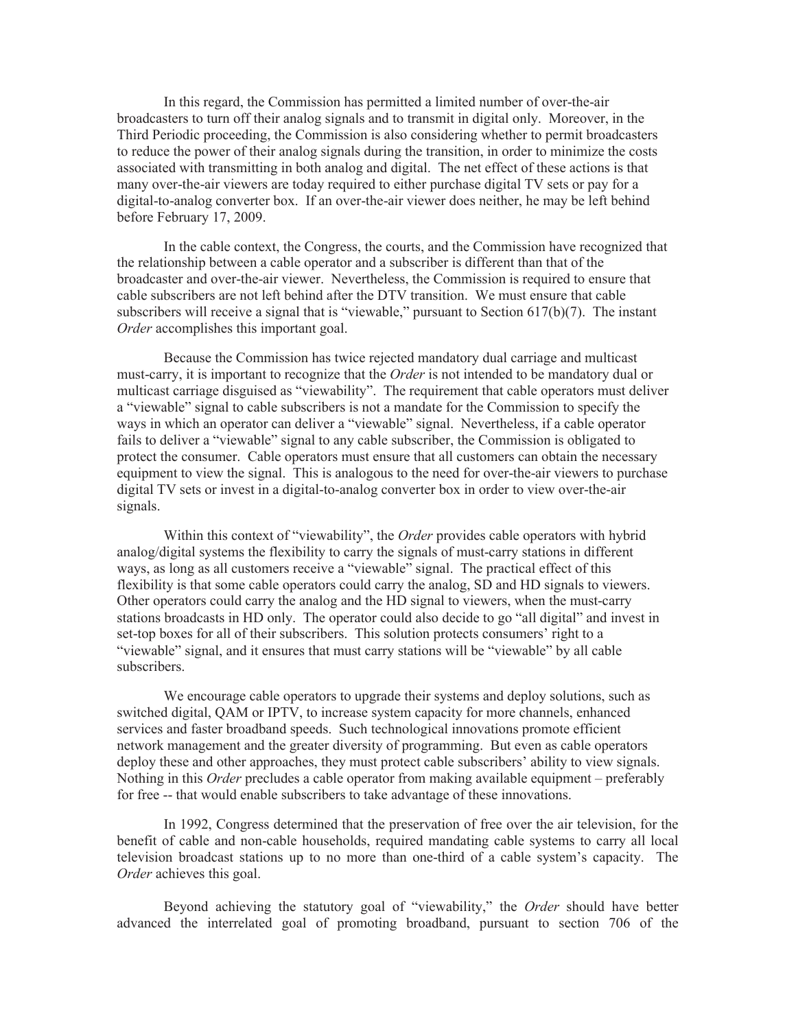In this regard, the Commission has permitted a limited number of over-the-air broadcasters to turn off their analog signals and to transmit in digital only. Moreover, in the Third Periodic proceeding, the Commission is also considering whether to permit broadcasters to reduce the power of their analog signals during the transition, in order to minimize the costs associated with transmitting in both analog and digital. The net effect of these actions is that many over-the-air viewers are today required to either purchase digital TV sets or pay for a digital-to-analog converter box. If an over-the-air viewer does neither, he may be left behind before February 17, 2009.

In the cable context, the Congress, the courts, and the Commission have recognized that the relationship between a cable operator and a subscriber is different than that of the broadcaster and over-the-air viewer. Nevertheless, the Commission is required to ensure that cable subscribers are not left behind after the DTV transition. We must ensure that cable subscribers will receive a signal that is "viewable," pursuant to Section 617(b)(7). The instant *Order* accomplishes this important goal.

Because the Commission has twice rejected mandatory dual carriage and multicast must-carry, it is important to recognize that the *Order* is not intended to be mandatory dual or multicast carriage disguised as "viewability". The requirement that cable operators must deliver a "viewable" signal to cable subscribers is not a mandate for the Commission to specify the ways in which an operator can deliver a "viewable" signal. Nevertheless, if a cable operator fails to deliver a "viewable" signal to any cable subscriber, the Commission is obligated to protect the consumer. Cable operators must ensure that all customers can obtain the necessary equipment to view the signal. This is analogous to the need for over-the-air viewers to purchase digital TV sets or invest in a digital-to-analog converter box in order to view over-the-air signals.

Within this context of "viewability", the *Order* provides cable operators with hybrid analog/digital systems the flexibility to carry the signals of must-carry stations in different ways, as long as all customers receive a "viewable" signal. The practical effect of this flexibility is that some cable operators could carry the analog, SD and HD signals to viewers. Other operators could carry the analog and the HD signal to viewers, when the must-carry stations broadcasts in HD only. The operator could also decide to go "all digital" and invest in set-top boxes for all of their subscribers. This solution protects consumers' right to a "viewable" signal, and it ensures that must carry stations will be "viewable" by all cable subscribers.

We encourage cable operators to upgrade their systems and deploy solutions, such as switched digital, QAM or IPTV, to increase system capacity for more channels, enhanced services and faster broadband speeds. Such technological innovations promote efficient network management and the greater diversity of programming. But even as cable operators deploy these and other approaches, they must protect cable subscribers' ability to view signals. Nothing in this *Order* precludes a cable operator from making available equipment – preferably for free -- that would enable subscribers to take advantage of these innovations.

In 1992, Congress determined that the preservation of free over the air television, for the benefit of cable and non-cable households, required mandating cable systems to carry all local television broadcast stations up to no more than one-third of a cable system's capacity. The *Order* achieves this goal.

Beyond achieving the statutory goal of "viewability," the *Order* should have better advanced the interrelated goal of promoting broadband, pursuant to section 706 of the